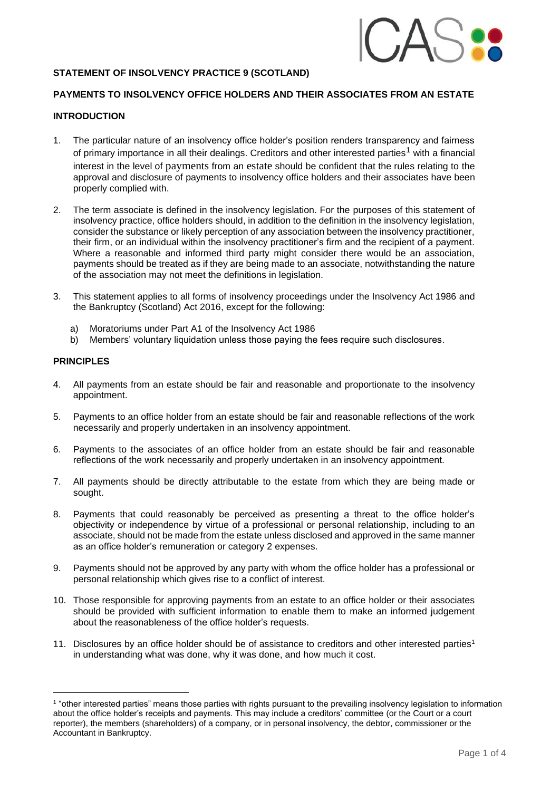<span id="page-0-0"></span>

# **STATEMENT OF INSOLVENCY PRACTICE 9 (SCOTLAND)**

# **PAYMENTS TO INSOLVENCY OFFICE HOLDERS AND THEIR ASSOCIATES FROM AN ESTATE**

### **INTRODUCTION**

- 1. The particular nature of an insolvency office holder's position renders transparency and fairness of primary importance in all their dealings. Creditors and other interested parties<sup>1</sup> with a financial interest in the level of payments from an estate should be confident that the rules relating to the approval and disclosure of payments to insolvency office holders and their associates have been properly complied with.
- 2. The term associate is defined in the insolvency legislation. For the purposes of this statement of insolvency practice, office holders should, in addition to the definition in the insolvency legislation, consider the substance or likely perception of any association between the insolvency practitioner, their firm, or an individual within the insolvency practitioner's firm and the recipient of a payment. Where a reasonable and informed third party might consider there would be an association, payments should be treated as if they are being made to an associate, notwithstanding the nature of the association may not meet the definitions in legislation.
- 3. This statement applies to all forms of insolvency proceedings under the Insolvency Act 1986 and the Bankruptcy (Scotland) Act 2016, except for the following:
	- a) Moratoriums under Part A1 of the Insolvency Act 1986
	- b) Members' voluntary liquidation unless those paying the fees require such disclosures.

### **PRINCIPLES**

- 4. All payments from an estate should be fair and reasonable and proportionate to the insolvency appointment.
- 5. Payments to an office holder from an estate should be fair and reasonable reflections of the work necessarily and properly undertaken in an insolvency appointment.
- 6. Payments to the associates of an office holder from an estate should be fair and reasonable reflections of the work necessarily and properly undertaken in an insolvency appointment.
- 7. All payments should be directly attributable to the estate from which they are being made or sought.
- 8. Payments that could reasonably be perceived as presenting a threat to the office holder's objectivity or independence by virtue of a professional or personal relationship, including to an associate, should not be made from the estate unless disclosed and approved in the same manner as an office holder's remuneration or category 2 expenses.
- 9. Payments should not be approved by any party with whom the office holder has a professional or personal relationship which gives rise to a conflict of interest.
- 10. Those responsible for approving payments from an estate to an office holder or their associates should be provided with sufficient information to enable them to make an informed judgement about the reasonableness of the office holder's requests.
- 11. Disclosures by an office holder should be of assistance to creditors and other interested parties<sup>1</sup> in understanding what was done, why it was done, and how much it cost.

<sup>1</sup> "other interested parties" means those parties with rights pursuant to the prevailing insolvency legislation to information about the office holder's receipts and payments. This may include a creditors' committee (or the Court or a court reporter), the members (shareholders) of a company, or in personal insolvency, the debtor, commissioner or the Accountant in Bankruptcy.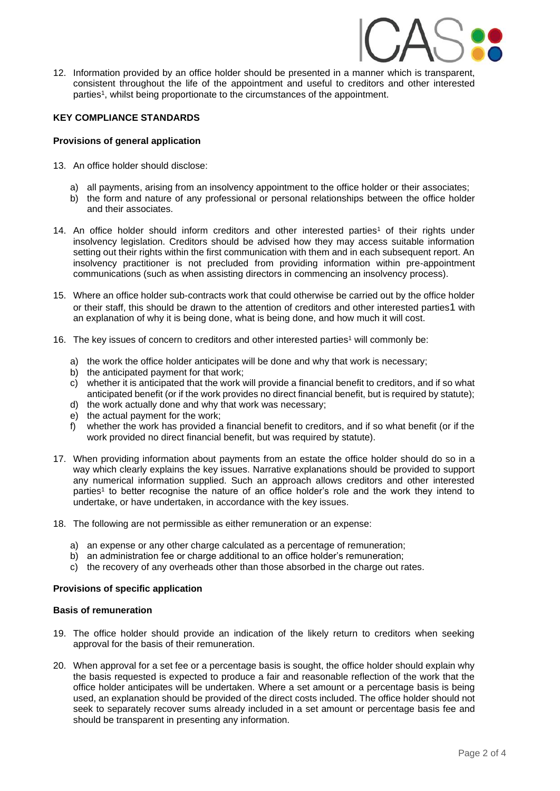

12. Information provided by an office holder should be presented in a manner which is transparent, consistent throughout the life of the appointment and useful to creditors and other interested parties<sup>1</sup>, whilst being proportionate to the circumstances of the appointment.

## **KEY COMPLIANCE STANDARDS**

### **Provisions of general application**

- 13. An office holder should disclose:
	- a) all payments, arising from an insolvency appointment to the office holder or their associates;
	- b) the form and nature of any professional or personal relationships between the office holder and their associates.
- 14. An office holder should inform creditors and other interested parties<sup>1</sup> of their rights under insolvency legislation. Creditors should be advised how they may access suitable information setting out their rights within the first communication with them and in each subsequent report. An insolvency practitioner is not precluded from providing information within pre-appointment communications (such as when assisting directors in commencing an insolvency process).
- 15. Where an office holder sub-contracts work that could otherwise be carried out by the office holder or their staff, this should be drawn to the attention of creditors and other interested parties[1](#page-0-0) with an explanation of why it is being done, what is being done, and how much it will cost.
- 16. The key issues of concern to creditors and other interested parties<sup>1</sup> will commonly be:
	- a) the work the office holder anticipates will be done and why that work is necessary;
	- b) the anticipated payment for that work;
	- c) whether it is anticipated that the work will provide a financial benefit to creditors, and if so what anticipated benefit (or if the work provides no direct financial benefit, but is required by statute);
	- d) the work actually done and why that work was necessary;
	- e) the actual payment for the work;
	- f) whether the work has provided a financial benefit to creditors, and if so what benefit (or if the work provided no direct financial benefit, but was required by statute).
- 17. When providing information about payments from an estate the office holder should do so in a way which clearly explains the key issues. Narrative explanations should be provided to support any numerical information supplied. Such an approach allows creditors and other interested parties<sup>1</sup> to better recognise the nature of an office holder's role and the work they intend to undertake, or have undertaken, in accordance with the key issues.
- 18. The following are not permissible as either remuneration or an expense:
	- a) an expense or any other charge calculated as a percentage of remuneration;
	- b) an administration fee or charge additional to an office holder's remuneration;
	- c) the recovery of any overheads other than those absorbed in the charge out rates.

### **Provisions of specific application**

### **Basis of remuneration**

- 19. The office holder should provide an indication of the likely return to creditors when seeking approval for the basis of their remuneration.
- 20. When approval for a set fee or a percentage basis is sought, the office holder should explain why the basis requested is expected to produce a fair and reasonable reflection of the work that the office holder anticipates will be undertaken. Where a set amount or a percentage basis is being used, an explanation should be provided of the direct costs included. The office holder should not seek to separately recover sums already included in a set amount or percentage basis fee and should be transparent in presenting any information.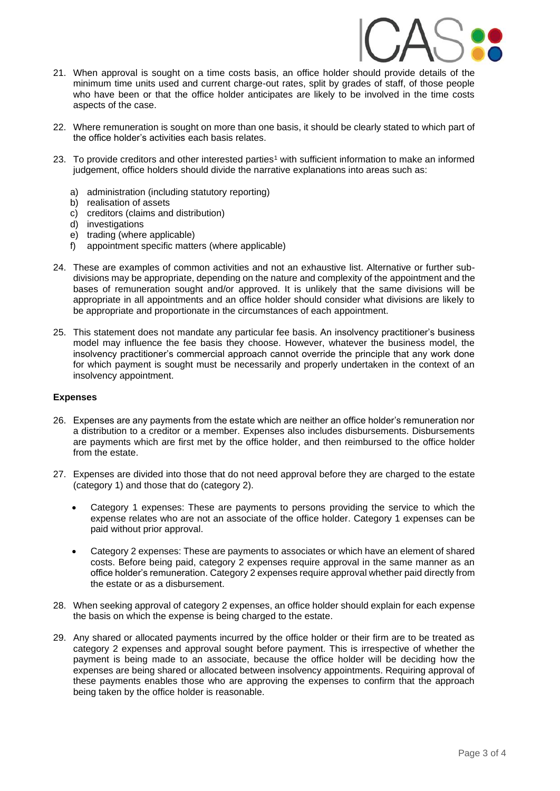

- 21. When approval is sought on a time costs basis, an office holder should provide details of the minimum time units used and current charge-out rates, split by grades of staff, of those people who have been or that the office holder anticipates are likely to be involved in the time costs aspects of the case.
- 22. Where remuneration is sought on more than one basis, it should be clearly stated to which part of the office holder's activities each basis relates.
- 23. To provide creditors and other interested parties<sup>1</sup> with sufficient information to make an informed judgement, office holders should divide the narrative explanations into areas such as:
	- a) administration (including statutory reporting)
	- b) realisation of assets
	- c) creditors (claims and distribution)
	- d) investigations
	- e) trading (where applicable)
	- f) appointment specific matters (where applicable)
- 24. These are examples of common activities and not an exhaustive list. Alternative or further subdivisions may be appropriate, depending on the nature and complexity of the appointment and the bases of remuneration sought and/or approved. It is unlikely that the same divisions will be appropriate in all appointments and an office holder should consider what divisions are likely to be appropriate and proportionate in the circumstances of each appointment.
- 25. This statement does not mandate any particular fee basis. An insolvency practitioner's business model may influence the fee basis they choose. However, whatever the business model, the insolvency practitioner's commercial approach cannot override the principle that any work done for which payment is sought must be necessarily and properly undertaken in the context of an insolvency appointment.

### **Expenses**

- 26. Expenses are any payments from the estate which are neither an office holder's remuneration nor a distribution to a creditor or a member. Expenses also includes disbursements. Disbursements are payments which are first met by the office holder, and then reimbursed to the office holder from the estate.
- 27. Expenses are divided into those that do not need approval before they are charged to the estate (category 1) and those that do (category 2).
	- Category 1 expenses: These are payments to persons providing the service to which the expense relates who are not an associate of the office holder. Category 1 expenses can be paid without prior approval.
	- Category 2 expenses: These are payments to associates or which have an element of shared costs. Before being paid, category 2 expenses require approval in the same manner as an office holder's remuneration. Category 2 expenses require approval whether paid directly from the estate or as a disbursement.
- 28. When seeking approval of category 2 expenses, an office holder should explain for each expense the basis on which the expense is being charged to the estate.
- 29. Any shared or allocated payments incurred by the office holder or their firm are to be treated as category 2 expenses and approval sought before payment. This is irrespective of whether the payment is being made to an associate, because the office holder will be deciding how the expenses are being shared or allocated between insolvency appointments. Requiring approval of these payments enables those who are approving the expenses to confirm that the approach being taken by the office holder is reasonable.